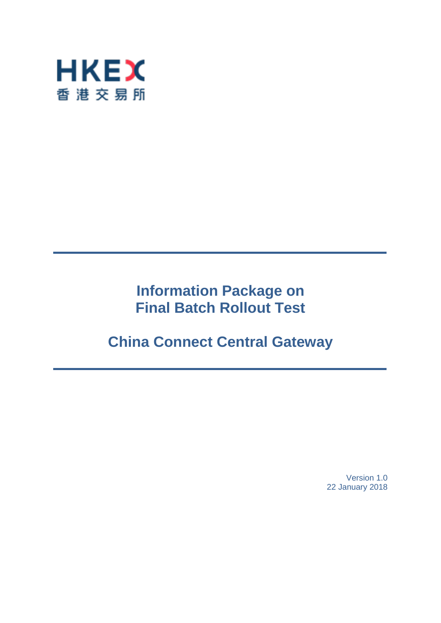

# **Information Package on Final Batch Rollout Test**

# **China Connect Central Gateway**

Version 1.0 22 January 2018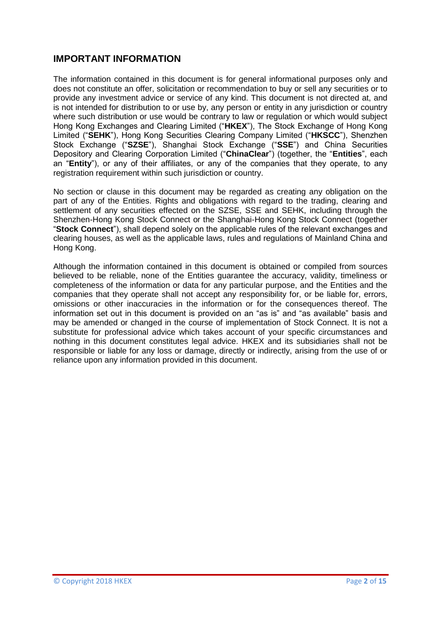# **IMPORTANT INFORMATION**

The information contained in this document is for general informational purposes only and does not constitute an offer, solicitation or recommendation to buy or sell any securities or to provide any investment advice or service of any kind. This document is not directed at, and is not intended for distribution to or use by, any person or entity in any jurisdiction or country where such distribution or use would be contrary to law or regulation or which would subject Hong Kong Exchanges and Clearing Limited ("**HKEX**"), The Stock Exchange of Hong Kong Limited ("**SEHK**"), Hong Kong Securities Clearing Company Limited ("**HKSCC**"), Shenzhen Stock Exchange ("**SZSE**"), Shanghai Stock Exchange ("**SSE**") and China Securities Depository and Clearing Corporation Limited ("**ChinaClear**") (together, the "**Entities**", each an "**Entity**"), or any of their affiliates, or any of the companies that they operate, to any registration requirement within such jurisdiction or country.

No section or clause in this document may be regarded as creating any obligation on the part of any of the Entities. Rights and obligations with regard to the trading, clearing and settlement of any securities effected on the SZSE, SSE and SEHK, including through the Shenzhen-Hong Kong Stock Connect or the Shanghai-Hong Kong Stock Connect (together "**Stock Connect**"), shall depend solely on the applicable rules of the relevant exchanges and clearing houses, as well as the applicable laws, rules and regulations of Mainland China and Hong Kong.

Although the information contained in this document is obtained or compiled from sources believed to be reliable, none of the Entities guarantee the accuracy, validity, timeliness or completeness of the information or data for any particular purpose, and the Entities and the companies that they operate shall not accept any responsibility for, or be liable for, errors, omissions or other inaccuracies in the information or for the consequences thereof. The information set out in this document is provided on an "as is" and "as available" basis and may be amended or changed in the course of implementation of Stock Connect. It is not a substitute for professional advice which takes account of your specific circumstances and nothing in this document constitutes legal advice. HKEX and its subsidiaries shall not be responsible or liable for any loss or damage, directly or indirectly, arising from the use of or reliance upon any information provided in this document.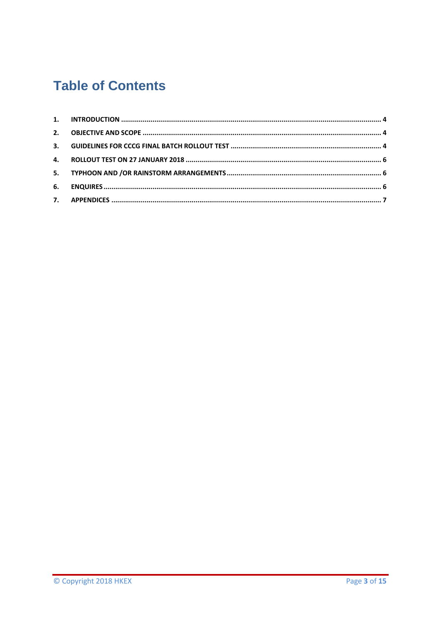# **Table of Contents**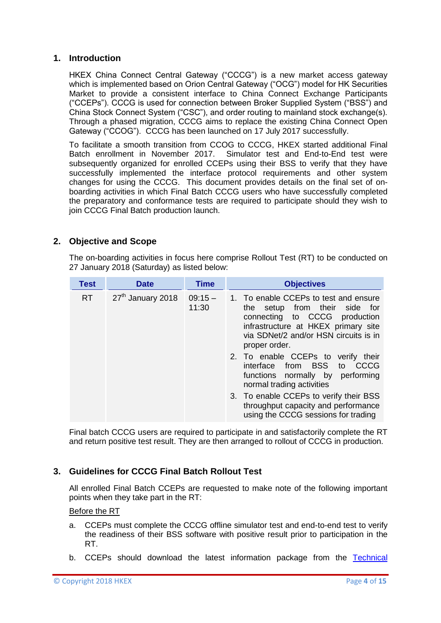### <span id="page-3-0"></span>**1. Introduction**

HKEX China Connect Central Gateway ("CCCG") is a new market access gateway which is implemented based on Orion Central Gateway ("OCG") model for HK Securities Market to provide a consistent interface to China Connect Exchange Participants ("CCEPs"). CCCG is used for connection between Broker Supplied System ("BSS") and China Stock Connect System ("CSC"), and order routing to mainland stock exchange(s). Through a phased migration, CCCG aims to replace the existing China Connect Open Gateway ("CCOG"). CCCG has been launched on 17 July 2017 successfully.

To facilitate a smooth transition from CCOG to CCCG, HKEX started additional Final Batch enrollment in November 2017. Simulator test and End-to-End test were subsequently organized for enrolled CCEPs using their BSS to verify that they have successfully implemented the interface protocol requirements and other system changes for using the CCCG. This document provides details on the final set of onboarding activities in which Final Batch CCCG users who have successfully completed the preparatory and conformance tests are required to participate should they wish to join CCCG Final Batch production launch.

## <span id="page-3-1"></span>**2. Objective and Scope**

The on-boarding activities in focus here comprise Rollout Test (RT) to be conducted on 27 January 2018 (Saturday) as listed below:

| <b>Test</b> | <b>Date</b>                   | Time               | <b>Objectives</b>                                                                                                                                                                                              |  |
|-------------|-------------------------------|--------------------|----------------------------------------------------------------------------------------------------------------------------------------------------------------------------------------------------------------|--|
| <b>RT</b>   | 27 <sup>th</sup> January 2018 | $09:15 -$<br>11:30 | 1. To enable CCEPs to test and ensure<br>setup from their side for<br>the<br>connecting to CCCG<br>production<br>infrastructure at HKEX primary site<br>via SDNet/2 and/or HSN circuits is in<br>proper order. |  |
|             |                               |                    | 2. To enable CCEPs to verify their<br>interface from BSS<br>CCCG<br>to<br>functions normally by performing<br>normal trading activities                                                                        |  |
|             |                               |                    | 3. To enable CCEPs to verify their BSS<br>throughput capacity and performance<br>using the CCCG sessions for trading                                                                                           |  |

Final batch CCCG users are required to participate in and satisfactorily complete the RT and return positive test result. They are then arranged to rollout of CCCG in production.

## <span id="page-3-2"></span>**3. Guidelines for CCCG Final Batch Rollout Test**

All enrolled Final Batch CCEPs are requested to make note of the following important points when they take part in the RT:

#### Before the RT

- a. CCEPs must complete the CCCG offline simulator test and end-to-end test to verify the readiness of their BSS software with positive result prior to participation in the RT.
- b. CCEPs should download the latest information package from the Technical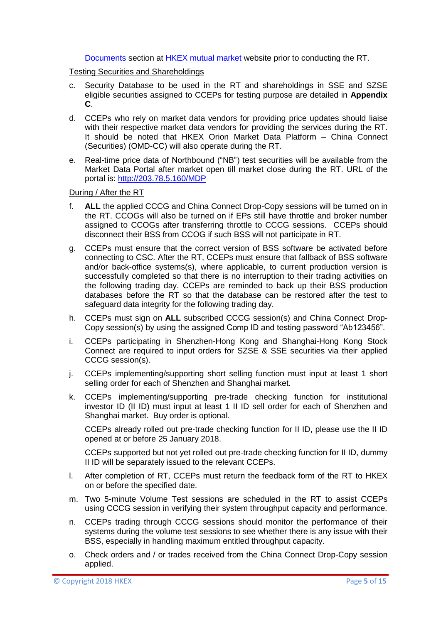[Documents](http://www.hkex.com.hk/mutual-market/stock-connect/reference-materials/technical-documents?sc_lang=en) section at **HKEX** mutual market website prior to conducting the RT.

Testing Securities and Shareholdings

- c. Security Database to be used in the RT and shareholdings in SSE and SZSE eligible securities assigned to CCEPs for testing purpose are detailed in **Appendix C**.
- d. CCEPs who rely on market data vendors for providing price updates should liaise with their respective market data vendors for providing the services during the RT. It should be noted that HKEX Orion Market Data Platform – China Connect (Securities) (OMD-CC) will also operate during the RT.
- e. Real-time price data of Northbound ("NB") test securities will be available from the Market Data Portal after market open till market close during the RT. URL of the portal is:<http://203.78.5.160/MDP>

During / After the RT

- f. **ALL** the applied CCCG and China Connect Drop-Copy sessions will be turned on in the RT. CCOGs will also be turned on if EPs still have throttle and broker number assigned to CCOGs after transferring throttle to CCCG sessions. CCEPs should disconnect their BSS from CCOG if such BSS will not participate in RT.
- g. CCEPs must ensure that the correct version of BSS software be activated before connecting to CSC. After the RT, CCEPs must ensure that fallback of BSS software and/or back-office systems(s), where applicable, to current production version is successfully completed so that there is no interruption to their trading activities on the following trading day. CCEPs are reminded to back up their BSS production databases before the RT so that the database can be restored after the test to safeguard data integrity for the following trading day.
- h. CCEPs must sign on **ALL** subscribed CCCG session(s) and China Connect Drop-Copy session(s) by using the assigned Comp ID and testing password "Ab123456".
- i. CCEPs participating in Shenzhen-Hong Kong and Shanghai-Hong Kong Stock Connect are required to input orders for SZSE & SSE securities via their applied CCCG session(s).
- j. CCEPs implementing/supporting short selling function must input at least 1 short selling order for each of Shenzhen and Shanghai market.
- k. CCEPs implementing/supporting pre-trade checking function for institutional investor ID (II ID) must input at least 1 II ID sell order for each of Shenzhen and Shanghai market. Buy order is optional.

CCEPs already rolled out pre-trade checking function for II ID, please use the II ID opened at or before 25 January 2018.

CCEPs supported but not yet rolled out pre-trade checking function for II ID, dummy II ID will be separately issued to the relevant CCEPs.

- l. After completion of RT, CCEPs must return the feedback form of the RT to HKEX on or before the specified date.
- m. Two 5-minute Volume Test sessions are scheduled in the RT to assist CCEPs using CCCG session in verifying their system throughput capacity and performance.
- n. CCEPs trading through CCCG sessions should monitor the performance of their systems during the volume test sessions to see whether there is any issue with their BSS, especially in handling maximum entitled throughput capacity.
- o. Check orders and / or trades received from the China Connect Drop-Copy session applied.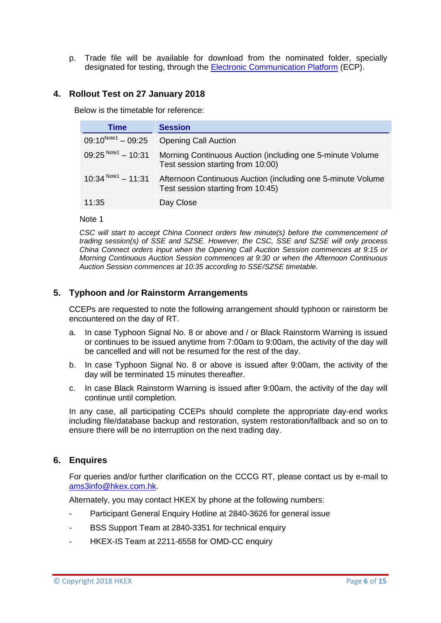p. Trade file will be available for download from the nominated folder, specially designated for testing, through the [Electronic Communication Platform](https://www.ecp.hkex.com.hk/logon.aspx) (ECP).

## <span id="page-5-0"></span>**4. Rollout Test on 27 January 2018**

Below is the timetable for reference:

| Time                             | <b>Session</b>                                                                                   |
|----------------------------------|--------------------------------------------------------------------------------------------------|
| $09:10^{Note1} - 09:25$          | <b>Opening Call Auction</b>                                                                      |
| $09:25^{Note1} - 10:31$          | Morning Continuous Auction (including one 5-minute Volume<br>Test session starting from 10:00)   |
| $10:34^{ \text{ Note1}} - 11:31$ | Afternoon Continuous Auction (including one 5-minute Volume<br>Test session starting from 10:45) |
| 11:35                            | Day Close                                                                                        |

#### Note 1

*CSC will start to accept China Connect orders few minute(s) before the commencement of trading session(s) of SSE and SZSE. However, the CSC, SSE and SZSE will only process China Connect orders input when the Opening Call Auction Session commences at 9:15 or Morning Continuous Auction Session commences at 9:30 or when the Afternoon Continuous Auction Session commences at 10:35 according to SSE/SZSE timetable.*

### <span id="page-5-1"></span>**5. Typhoon and /or Rainstorm Arrangements**

CCEPs are requested to note the following arrangement should typhoon or rainstorm be encountered on the day of RT.

- a. In case Typhoon Signal No. 8 or above and / or Black Rainstorm Warning is issued or continues to be issued anytime from 7:00am to 9:00am, the activity of the day will be cancelled and will not be resumed for the rest of the day.
- b. In case Typhoon Signal No. 8 or above is issued after 9:00am, the activity of the day will be terminated 15 minutes thereafter.
- c. In case Black Rainstorm Warning is issued after 9:00am, the activity of the day will continue until completion.

In any case, all participating CCEPs should complete the appropriate day-end works including file/database backup and restoration, system restoration/fallback and so on to ensure there will be no interruption on the next trading day.

## <span id="page-5-2"></span>**6. Enquires**

For queries and/or further clarification on the CCCG RT, please contact us by e-mail to [ams3info@hkex.com.hk.](mailto:ams3info@hkex.com.hk)

Alternately, you may contact HKEX by phone at the following numbers:

- Participant General Enquiry Hotline at 2840-3626 for general issue
- BSS Support Team at 2840-3351 for technical enquiry
- HKEX-IS Team at 2211-6558 for OMD-CC enquiry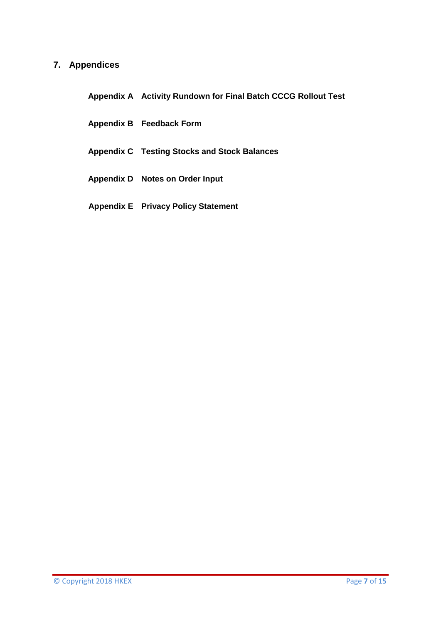# <span id="page-6-0"></span>**7. Appendices**

**Appendix A Activity Rundown for Final Batch CCCG Rollout Test**

- **Appendix B Feedback Form**
- **Appendix C Testing Stocks and Stock Balances**
- **Appendix D Notes on Order Input**
- **Appendix E Privacy Policy Statement**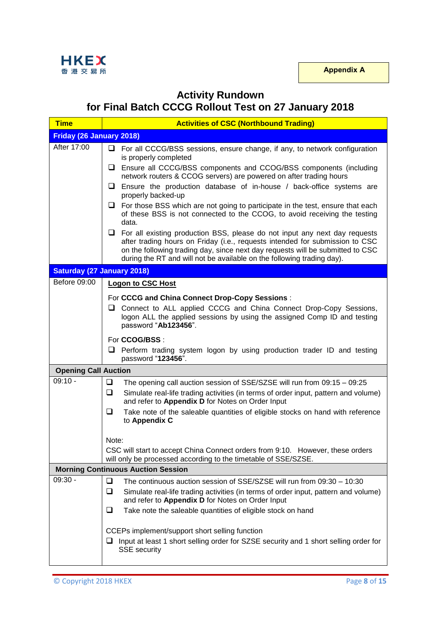

# **Activity Rundown for Final Batch CCCG Rollout Test on 27 January 2018**

| <b>Time</b>                                      | <b>Activities of CSC (Northbound Trading)</b>                                                                                                                                                                                                                                                                                 |  |  |  |  |
|--------------------------------------------------|-------------------------------------------------------------------------------------------------------------------------------------------------------------------------------------------------------------------------------------------------------------------------------------------------------------------------------|--|--|--|--|
| Friday (26 January 2018)                         |                                                                                                                                                                                                                                                                                                                               |  |  |  |  |
| After 17:00                                      | $\Box$ For all CCCG/BSS sessions, ensure change, if any, to network configuration<br>is properly completed                                                                                                                                                                                                                    |  |  |  |  |
|                                                  | Ensure all CCCG/BSS components and CCOG/BSS components (including<br>⊔.<br>network routers & CCOG servers) are powered on after trading hours                                                                                                                                                                                 |  |  |  |  |
|                                                  | Ensure the production database of in-house / back-office systems are<br>u.<br>properly backed-up                                                                                                                                                                                                                              |  |  |  |  |
|                                                  | $\Box$ For those BSS which are not going to participate in the test, ensure that each<br>of these BSS is not connected to the CCOG, to avoid receiving the testing<br>data.                                                                                                                                                   |  |  |  |  |
|                                                  | $\Box$ For all existing production BSS, please do not input any next day requests<br>after trading hours on Friday (i.e., requests intended for submission to CSC<br>on the following trading day, since next day requests will be submitted to CSC<br>during the RT and will not be available on the following trading day). |  |  |  |  |
| <b>Saturday (27 January 2018)</b>                |                                                                                                                                                                                                                                                                                                                               |  |  |  |  |
| Before 09:00                                     | <b>Logon to CSC Host</b>                                                                                                                                                                                                                                                                                                      |  |  |  |  |
|                                                  | For CCCG and China Connect Drop-Copy Sessions:                                                                                                                                                                                                                                                                                |  |  |  |  |
|                                                  | Connect to ALL applied CCCG and China Connect Drop-Copy Sessions,<br>u.<br>logon ALL the applied sessions by using the assigned Comp ID and testing<br>password "Ab123456".                                                                                                                                                   |  |  |  |  |
|                                                  | For CCOG/BSS :                                                                                                                                                                                                                                                                                                                |  |  |  |  |
|                                                  | $\Box$ Perform trading system logon by using production trader ID and testing<br>password "123456".                                                                                                                                                                                                                           |  |  |  |  |
| <b>Opening Call Auction</b>                      |                                                                                                                                                                                                                                                                                                                               |  |  |  |  |
| $09:10 -$                                        | $\Box$<br>The opening call auction session of SSE/SZSE will run from 09:15 - 09:25<br>$\Box$<br>Simulate real-life trading activities (in terms of order input, pattern and volume)                                                                                                                                           |  |  |  |  |
| and refer to Appendix D for Notes on Order Input |                                                                                                                                                                                                                                                                                                                               |  |  |  |  |
|                                                  | $\Box$<br>Take note of the saleable quantities of eligible stocks on hand with reference<br>to Appendix C                                                                                                                                                                                                                     |  |  |  |  |
|                                                  | Note:                                                                                                                                                                                                                                                                                                                         |  |  |  |  |
|                                                  | CSC will start to accept China Connect orders from 9:10. However, these orders<br>will only be processed according to the timetable of SSE/SZSE.                                                                                                                                                                              |  |  |  |  |
| <b>Morning Continuous Auction Session</b>        |                                                                                                                                                                                                                                                                                                                               |  |  |  |  |
| $09:30 -$                                        | The continuous auction session of SSE/SZSE will run from 09:30 - 10:30<br>ப                                                                                                                                                                                                                                                   |  |  |  |  |
|                                                  | ❏<br>Simulate real-life trading activities (in terms of order input, pattern and volume)<br>and refer to Appendix D for Notes on Order Input                                                                                                                                                                                  |  |  |  |  |
|                                                  | ❏<br>Take note the saleable quantities of eligible stock on hand                                                                                                                                                                                                                                                              |  |  |  |  |
|                                                  | CCEPs implement/support short selling function<br>$\Box$ Input at least 1 short selling order for SZSE security and 1 short selling order for<br><b>SSE</b> security                                                                                                                                                          |  |  |  |  |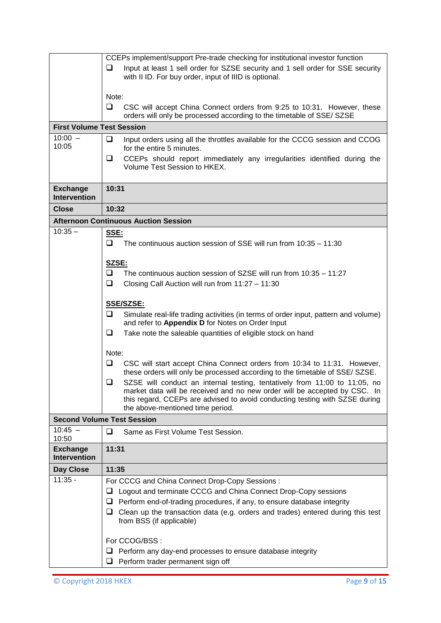|                                                  | CCEPs implement/support Pre-trade checking for institutional investor function                                                                             |  |  |  |  |
|--------------------------------------------------|------------------------------------------------------------------------------------------------------------------------------------------------------------|--|--|--|--|
|                                                  | Input at least 1 sell order for SZSE security and 1 sell order for SSE security<br>⊔<br>with II ID. For buy order, input of IIID is optional.              |  |  |  |  |
|                                                  |                                                                                                                                                            |  |  |  |  |
|                                                  | Note:                                                                                                                                                      |  |  |  |  |
|                                                  | $\Box$<br>CSC will accept China Connect orders from 9:25 to 10:31. However, these<br>orders will only be processed according to the timetable of SSE/ SZSE |  |  |  |  |
| <b>First Volume Test Session</b>                 |                                                                                                                                                            |  |  |  |  |
| $10:00 -$<br>10:05                               | ❏<br>Input orders using all the throttles available for the CCCG session and CCOG<br>for the entire 5 minutes.                                             |  |  |  |  |
|                                                  | ❏<br>CCEPs should report immediately any irregularities identified during the<br>Volume Test Session to HKEX.                                              |  |  |  |  |
| <b>Exchange</b><br><b>Intervention</b>           | 10:31                                                                                                                                                      |  |  |  |  |
| <b>Close</b>                                     | 10:32                                                                                                                                                      |  |  |  |  |
|                                                  | <b>Afternoon Continuous Auction Session</b>                                                                                                                |  |  |  |  |
| $10:35 -$                                        | SSE:                                                                                                                                                       |  |  |  |  |
|                                                  | $\Box$<br>The continuous auction session of SSE will run from $10:35 - 11:30$                                                                              |  |  |  |  |
|                                                  | SZSE:                                                                                                                                                      |  |  |  |  |
|                                                  | $\Box$<br>The continuous auction session of SZSE will run from 10:35 - 11:27                                                                               |  |  |  |  |
|                                                  | ❏<br>Closing Call Auction will run from 11:27 - 11:30                                                                                                      |  |  |  |  |
|                                                  | <b>SSE/SZSE:</b>                                                                                                                                           |  |  |  |  |
|                                                  | ⊔<br>Simulate real-life trading activities (in terms of order input, pattern and volume)                                                                   |  |  |  |  |
| and refer to Appendix D for Notes on Order Input |                                                                                                                                                            |  |  |  |  |
|                                                  | ❏<br>Take note the saleable quantities of eligible stock on hand                                                                                           |  |  |  |  |
|                                                  | Note:                                                                                                                                                      |  |  |  |  |
|                                                  | ❏<br>CSC will start accept China Connect orders from 10:34 to 11:31. However,                                                                              |  |  |  |  |
|                                                  | these orders will only be processed according to the timetable of SSE/ SZSE.                                                                               |  |  |  |  |
|                                                  | SZSE will conduct an internal testing, tentatively from 11:00 to 11:05, no<br>ப                                                                            |  |  |  |  |
|                                                  | market data will be received and no new order will be accepted by CSC. In                                                                                  |  |  |  |  |
|                                                  | this regard, CCEPs are advised to avoid conducting testing with SZSE during<br>the above-mentioned time period.                                            |  |  |  |  |
|                                                  | <b>Second Volume Test Session</b>                                                                                                                          |  |  |  |  |
| $10:45 -$<br>10:50                               | ❏<br>Same as First Volume Test Session.                                                                                                                    |  |  |  |  |
| <b>Exchange</b><br><b>Intervention</b>           | 11:31                                                                                                                                                      |  |  |  |  |
| Day Close                                        | 11:35                                                                                                                                                      |  |  |  |  |
| $11:35 -$                                        | For CCCG and China Connect Drop-Copy Sessions:                                                                                                             |  |  |  |  |
|                                                  | Logout and terminate CCCG and China Connect Drop-Copy sessions<br>⊔                                                                                        |  |  |  |  |
|                                                  | Perform end-of-trading procedures, if any, to ensure database integrity<br>u                                                                               |  |  |  |  |
|                                                  | $\Box$ Clean up the transaction data (e.g. orders and trades) entered during this test<br>from BSS (if applicable)                                         |  |  |  |  |
|                                                  | For CCOG/BSS:                                                                                                                                              |  |  |  |  |
|                                                  | Perform any day-end processes to ensure database integrity<br>⊔.                                                                                           |  |  |  |  |
| Perform trader permanent sign off<br>u           |                                                                                                                                                            |  |  |  |  |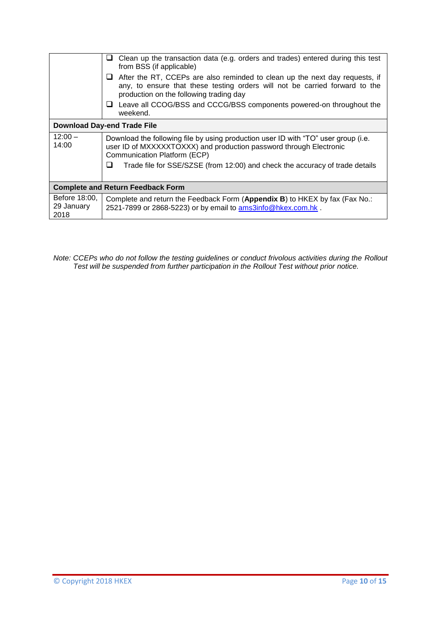|                                          | Clean up the transaction data (e.g. orders and trades) entered during this test<br>⊔<br>from BSS (if applicable)<br>$\Box$ After the RT, CCEPs are also reminded to clean up the next day requests, if<br>any, to ensure that these testing orders will not be carried forward to the<br>production on the following trading day<br>Leave all CCOG/BSS and CCCG/BSS components powered-on throughout the<br>⊔ |  |  |  |
|------------------------------------------|---------------------------------------------------------------------------------------------------------------------------------------------------------------------------------------------------------------------------------------------------------------------------------------------------------------------------------------------------------------------------------------------------------------|--|--|--|
|                                          | weekend.                                                                                                                                                                                                                                                                                                                                                                                                      |  |  |  |
|                                          | <b>Download Day-end Trade File</b>                                                                                                                                                                                                                                                                                                                                                                            |  |  |  |
| $12:00 -$<br>14:00                       | Download the following file by using production user ID with "TO" user group (i.e.<br>user ID of MXXXXXTOXXX) and production password through Electronic<br>Communication Platform (ECP)<br>Trade file for SSE/SZSE (from 12:00) and check the accuracy of trade details<br>ப                                                                                                                                 |  |  |  |
| <b>Complete and Return Feedback Form</b> |                                                                                                                                                                                                                                                                                                                                                                                                               |  |  |  |
| Before 18:00,<br>29 January<br>2018      | Complete and return the Feedback Form (Appendix B) to HKEX by fax (Fax No.:<br>2521-7899 or 2868-5223) or by email to ams3info@hkex.com.hk.                                                                                                                                                                                                                                                                   |  |  |  |

*Note: CCEPs who do not follow the testing guidelines or conduct frivolous activities during the Rollout Test will be suspended from further participation in the Rollout Test without prior notice.*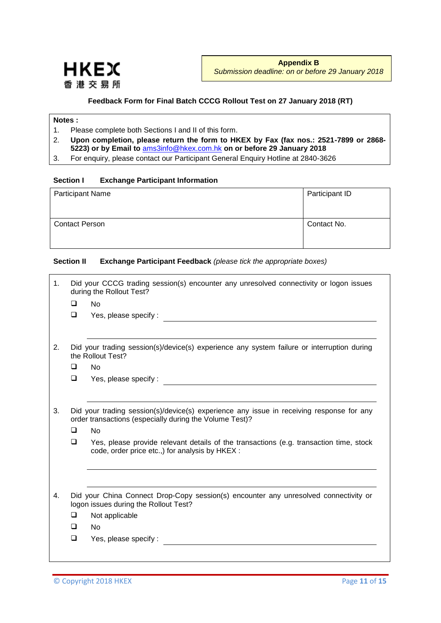

#### **Feedback Form for Final Batch CCCG Rollout Test on 27 January 2018 (RT)**

### **Notes :**

- 1. Please complete both Sections I and II of this form.
- 2. **Upon completion, please return the form to HKEX by Fax (fax nos.: 2521-7899 or 2868- 5223) or by Email to** [ams3info@hkex.com.hk](mailto:OrionCentralGateway@hkex.com.hk) **on or before 29 January 2018**
- 3. For enquiry, please contact our Participant General Enquiry Hotline at 2840-3626

#### **Section I Exchange Participant Information**

| <b>Participant Name</b> | Participant ID |  |
|-------------------------|----------------|--|
| <b>Contact Person</b>   | Contact No.    |  |

#### **Section II Exchange Participant Feedback** *(please tick the appropriate boxes)*

| 1. |                            | Did your CCCG trading session(s) encounter any unresolved connectivity or logon issues<br>during the Rollout Test?                                                                                                                                                                                            |  |  |  |
|----|----------------------------|---------------------------------------------------------------------------------------------------------------------------------------------------------------------------------------------------------------------------------------------------------------------------------------------------------------|--|--|--|
|    | $\Box$                     | <b>No</b>                                                                                                                                                                                                                                                                                                     |  |  |  |
|    | $\Box$                     | Yes, please specify:                                                                                                                                                                                                                                                                                          |  |  |  |
| 2. |                            | Did your trading session(s)/device(s) experience any system failure or interruption during<br>the Rollout Test?                                                                                                                                                                                               |  |  |  |
|    | $\Box$                     | <b>No</b>                                                                                                                                                                                                                                                                                                     |  |  |  |
|    | $\Box$                     | Yes, please specify:                                                                                                                                                                                                                                                                                          |  |  |  |
| 3. | <b>□</b><br>$\Box$         | Did your trading session(s)/device(s) experience any issue in receiving response for any<br>order transactions (especially during the Volume Test)?<br><b>No</b><br>Yes, please provide relevant details of the transactions (e.g. transaction time, stock<br>code, order price etc.,) for analysis by HKEX : |  |  |  |
| 4. | $\Box$<br>$\Box$<br>$\Box$ | Did your China Connect Drop-Copy session(s) encounter any unresolved connectivity or<br>logon issues during the Rollout Test?<br>Not applicable<br><b>No</b><br>Yes, please specify:                                                                                                                          |  |  |  |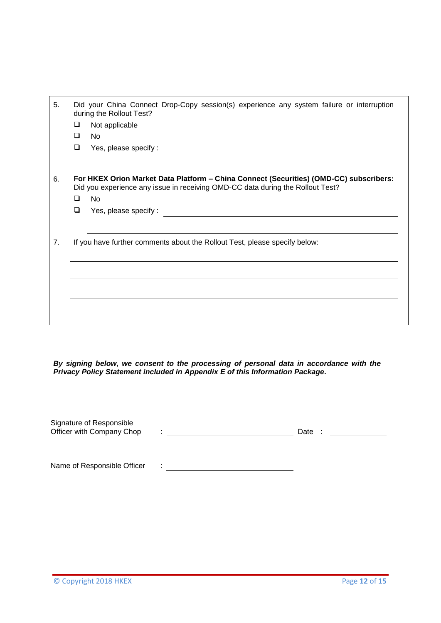| 5. | Did your China Connect Drop-Copy session(s) experience any system failure or interruption<br>during the Rollout Test?<br>❏<br>Not applicable<br><b>No</b><br>◻<br>❏<br>Yes, please specify:                       |
|----|-------------------------------------------------------------------------------------------------------------------------------------------------------------------------------------------------------------------|
| 6. | For HKEX Orion Market Data Platform - China Connect (Securities) (OMD-CC) subscribers:<br>Did you experience any issue in receiving OMD-CC data during the Rollout Test?<br>No.<br>◻<br>❏<br>Yes, please specify: |
| 7. | If you have further comments about the Rollout Test, please specify below:                                                                                                                                        |

*By signing below, we consent to the processing of personal data in accordance with the Privacy Policy Statement included in Appendix E of this Information Package.*

| Signature of Responsible<br>Officer with Company Chop | ٠ | Date |
|-------------------------------------------------------|---|------|
| Name of Responsible Officer                           | ÷ |      |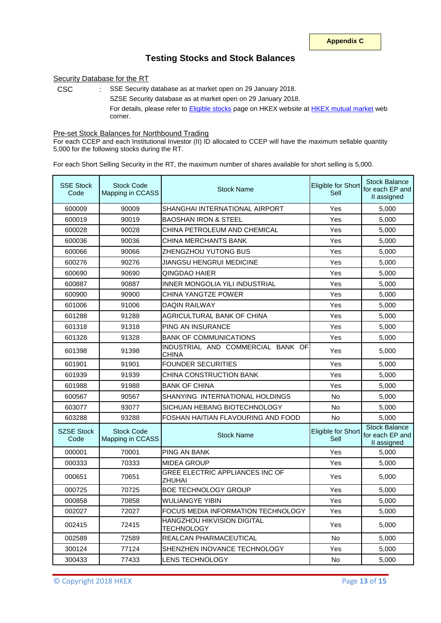## **Testing Stocks and Stock Balances**

#### Security Database for the RT

CSC : SSE Security database as at market open on 29 January 2018. SZSE Security database as at market open on 29 January 2018. For details, please refer to **[Eligible stocks](http://www.hkex.com.hk/Mutual-Market/Stock-Connect/Eligible-Stocks/View-All-Eligible-Securities?sc_lang=en)** page on HKEX website at **[HKEX mutual market](http://www.hkex.com.hk/Mutual-Market/Stock-Connect?sc_lang=en)** web corner.

Pre-set Stock Balances for Northbound Trading

For each CCEP and each Institutional Investor (II) ID allocated to CCEP will have the maximum sellable quantity 5,000 for the following stocks during the RT.

For each Short Selling Security in the RT, the maximum number of shares available for short selling is 5,000.

| <b>SSE Stock</b><br><b>Stock Code</b><br>Mapping in CCASS<br>Code |                                       | Stock Name                                       | Eligible for Short<br>Sell | <b>Stock Balance</b><br>for each EP and<br>II assigned |
|-------------------------------------------------------------------|---------------------------------------|--------------------------------------------------|----------------------------|--------------------------------------------------------|
| 600009                                                            | 90009                                 | SHANGHAI INTERNATIONAL AIRPORT                   | Yes                        | 5,000                                                  |
| 600019                                                            | 90019                                 | <b>BAOSHAN IRON &amp; STEEL</b>                  | Yes                        | 5,000                                                  |
| 600028                                                            | 90028                                 | CHINA PETROLEUM AND CHEMICAL                     | Yes                        | 5,000                                                  |
| 600036                                                            | 90036                                 | CHINA MERCHANTS BANK                             | Yes                        | 5,000                                                  |
| 600066                                                            | 90066                                 | ZHENGZHOU YUTONG BUS                             | Yes                        | 5.000                                                  |
| 600276                                                            | 90276                                 | JIANGSU HENGRUI MEDICINE                         | Yes                        | 5,000                                                  |
| 600690                                                            | 90690                                 | QINGDAO HAIER                                    | Yes                        | 5,000                                                  |
| 600887                                                            | 90887                                 | INNER MONGOLIA YILI INDUSTRIAL                   | Yes                        | 5,000                                                  |
| 600900                                                            | 90900                                 | CHINA YANGTZE POWER                              | Yes                        | 5,000                                                  |
| 601006                                                            | 91006                                 | <b>DAQIN RAILWAY</b>                             | Yes                        | 5,000                                                  |
| 601288                                                            | 91288                                 | AGRICULTURAL BANK OF CHINA                       | Yes                        | 5,000                                                  |
| 601318                                                            | 91318                                 | PING AN INSURANCE                                | Yes                        | 5,000                                                  |
| 601328                                                            | 91328                                 | BANK OF COMMUNICATIONS                           | Yes                        | 5,000                                                  |
| 601398                                                            | 91398                                 | INDUSTRIAL AND COMMERCIAL BANK OF<br>CHINA       | Yes                        | 5,000                                                  |
| 601901                                                            | 91901                                 | <b>FOUNDER SECURITIES</b>                        | Yes                        | 5,000                                                  |
| 601939                                                            | 91939                                 | CHINA CONSTRUCTION BANK                          | Yes                        | 5,000                                                  |
| 601988                                                            | 91988                                 | <b>BANK OF CHINA</b>                             | Yes                        | 5.000                                                  |
| 600567                                                            | 90567                                 | SHANYING INTERNATIONAL HOLDINGS                  | <b>No</b>                  | 5,000                                                  |
| 603077                                                            | 93077                                 | SICHUAN HEBANG BIOTECHNOLOGY                     | <b>No</b>                  | 5,000                                                  |
| 603288                                                            | 93288                                 | FOSHAN HAITIAN FLAVOURING AND FOOD               | <b>No</b>                  | 5,000                                                  |
| <b>SZSE Stock</b><br>Code                                         | <b>Stock Code</b><br>Mapping in CCASS | <b>Stock Name</b>                                | Eligible for Short<br>Sell | <b>Stock Balance</b><br>for each EP and<br>II assigned |
| 000001                                                            | 70001                                 | <b>PING AN BANK</b>                              | Yes                        | 5,000                                                  |
| 000333                                                            | 70333                                 | <b>MIDEA GROUP</b>                               | Yes                        | 5,000                                                  |
| 000651                                                            | 70651                                 | <b>GREE ELECTRIC APPLIANCES INC OF</b><br>ZHUHAI | Yes                        | 5,000                                                  |
| 000725                                                            | 70725                                 | <b>BOE TECHNOLOGY GROUP</b>                      | Yes                        | 5,000                                                  |
| 000858                                                            | 70858                                 | <b>WULIANGYE YIBIN</b>                           | Yes                        | 5,000                                                  |
| 002027                                                            | 72027                                 | FOCUS MEDIA INFORMATION TECHNOLOGY               | Yes                        | 5,000                                                  |
| 002415                                                            | 72415                                 | HANGZHOU HIKVISION DIGITAL<br><b>TECHNOLOGY</b>  | Yes                        | 5,000                                                  |
| 002589                                                            | 72589                                 | REALCAN PHARMACEUTICAL                           | No                         | 5,000                                                  |
| 300124                                                            | 77124                                 | SHENZHEN INOVANCE TECHNOLOGY                     | Yes                        | 5,000                                                  |
| 300433                                                            | 77433                                 | LENS TECHNOLOGY                                  | No                         | 5,000                                                  |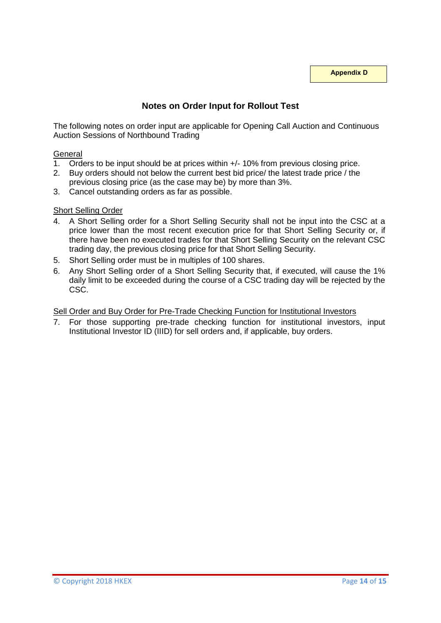**Appendix D**

# **Notes on Order Input for Rollout Test**

The following notes on order input are applicable for Opening Call Auction and Continuous Auction Sessions of Northbound Trading

### **General**

- 1. Orders to be input should be at prices within +/- 10% from previous closing price.
- 2. Buy orders should not below the current best bid price/ the latest trade price / the previous closing price (as the case may be) by more than 3%.
- 3. Cancel outstanding orders as far as possible.

#### Short Selling Order

- 4. A Short Selling order for a Short Selling Security shall not be input into the CSC at a price lower than the most recent execution price for that Short Selling Security or, if there have been no executed trades for that Short Selling Security on the relevant CSC trading day, the previous closing price for that Short Selling Security.
- 5. Short Selling order must be in multiples of 100 shares.
- 6. Any Short Selling order of a Short Selling Security that, if executed, will cause the 1% daily limit to be exceeded during the course of a CSC trading day will be rejected by the CSC.

#### Sell Order and Buy Order for Pre-Trade Checking Function for Institutional Investors

7. For those supporting pre-trade checking function for institutional investors, input Institutional Investor ID (IIID) for sell orders and, if applicable, buy orders.